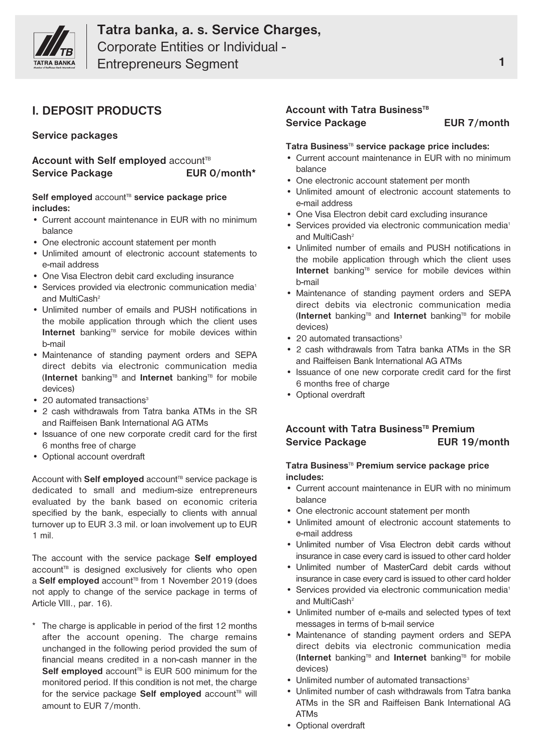

Entrepreneurs Segment **1** 

# **I. DEPOSIT PRODUCTS**

**Service packages**

**Account with Self employed** account<sup>TB</sup> **Service Package EUR 0/month\***

### Self **employed** account<sup>®</sup> service package price **includes:**

- Current account maintenance in EUR with no minimum balance
- One electronic account statement per month
- Unlimited amount of electronic account statements to e-mail address
- One Visa Electron debit card excluding insurance
- Services provided via electronic communication media<sup>1</sup> and MultiCash<sup>2</sup>
- Unlimited number of emails and PUSH notifications in the mobile application through which the client uses Internet banking<sup>TB</sup> service for mobile devices within b-mail
- Maintenance of standing payment orders and SEPA direct debits via electronic communication media (**Internet** bankingTB and **Internet** bankingTB for mobile devices)
- 20 automated transactions $3$
- 2 cash withdrawals from Tatra banka ATMs in the SR and Raiffeisen Bank International AG ATMs
- Issuance of one new corporate credit card for the first 6 months free of charge
- Optional account overdraft

Account with **Self employed** account<sup>re</sup> service package is dedicated to small and medium-size entrepreneurs evaluated by the bank based on economic criteria specified by the bank, especially to clients with annual turnover up to EUR 3.3 mil. or loan involvement up to EUR 1 mil.

The account with the service package **Self employed** account<sup>®</sup> is designed exclusively for clients who open a **Self employed** account<sup>re</sup> from 1 November 2019 (does not apply to change of the service package in terms of Article VIII., par. 16).

The charge is applicable in period of the first 12 months after the account opening. The charge remains unchanged in the following period provided the sum of financial means credited in a non-cash manner in the Self employed account<sup>TB</sup> is EUR 500 minimum for the monitored period. If this condition is not met, the charge for the service package **Self employed** account<sup>re</sup> will amount to EUR 7/month.

## **Account with Tatra Business<sup>TB</sup> Service Package EUR 7/month**

### **Tatra Business**TB **service package price includes:**

- Current account maintenance in EUR with no minimum balance
- One electronic account statement per month
- Unlimited amount of electronic account statements to e-mail address
- One Visa Electron debit card excluding insurance
- Services provided via electronic communication media<sup>1</sup> and MultiCash<sup>2</sup>
- Unlimited number of emails and PUSH notifications in the mobile application through which the client uses Internet banking<sup>TB</sup> service for mobile devices within b-mail
- Maintenance of standing payment orders and SEPA direct debits via electronic communication media (**Internet** bankingTB and **Internet** bankingTB for mobile devices)
- 20 automated transactions<sup>3</sup>
- 2 cash withdrawals from Tatra banka ATMs in the SR and Raiffeisen Bank International AG ATMs
- Issuance of one new corporate credit card for the first 6 months free of charge
- Optional overdraft

## **Account with Tatra BusinessTB Premium Service Package EUR 19/month**

### **Tatra Business**TB **Premium service package price includes:**

- Current account maintenance in EUR with no minimum balance
- One electronic account statement per month
- Unlimited amount of electronic account statements to e-mail address
- Unlimited number of Visa Electron debit cards without insurance in case every card is issued to other card holder
- Unlimited number of MasterCard debit cards without insurance in case every card is issued to other card holder
- Services provided via electronic communication media<sup>1</sup> and MultiCash<sup>2</sup>
- Unlimited number of e-mails and selected types of text messages in terms of b-mail service
- Maintenance of standing payment orders and SEPA direct debits via electronic communication media (**Internet** bankingTB and **Internet** bankingTB for mobile devices)
- Unlimited number of automated transactions<sup>3</sup>
- Unlimited number of cash withdrawals from Tatra banka ATMs in the SR and Raiffeisen Bank International AG ATMs
- Optional overdraft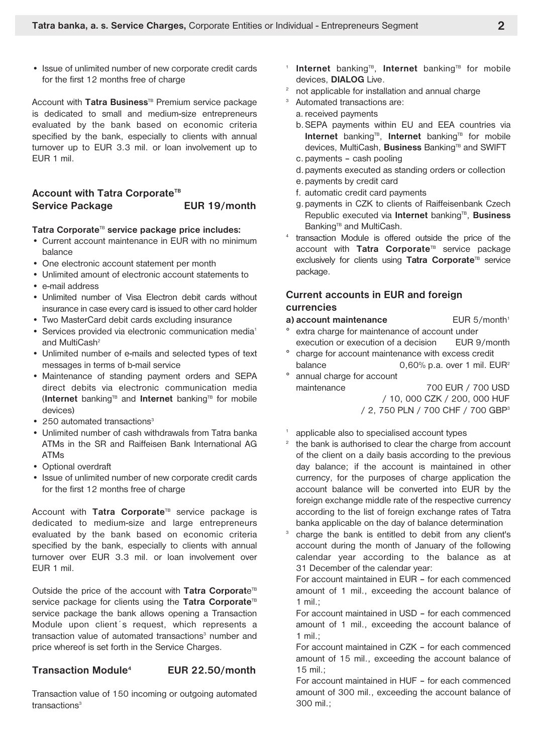• Issue of unlimited number of new corporate credit cards for the first 12 months free of charge

Account with **Tatra Business**TB Premium service package is dedicated to small and medium-size entrepreneurs evaluated by the bank based on economic criteria specified by the bank, especially to clients with annual turnover up to EUR 3.3 mil. or loan involvement up to EUR 1 mil.

## **Account with Tatra Corporate<sup>TB</sup> Service Package EUR 19/month**

#### **Tatra Corporate**TB **service package price includes:**

- Current account maintenance in EUR with no minimum balance
- One electronic account statement per month
- Unlimited amount of electronic account statements to
- e-mail address
- Unlimited number of Visa Electron debit cards without insurance in case every card is issued to other card holder
- Two MasterCard debit cards excluding insurance
- Services provided via electronic communication media<sup>1</sup> and MultiCash<sup>2</sup>
- Unlimited number of e-mails and selected types of text messages in terms of b-mail service
- Maintenance of standing payment orders and SEPA direct debits via electronic communication media (**Internet** bankingTB and **Internet** bankingTB for mobile devices)
- 250 automated transactions $3$
- Unlimited number of cash withdrawals from Tatra banka ATMs in the SR and Raiffeisen Bank International AG ATMs
- Optional overdraft
- Issue of unlimited number of new corporate credit cards for the first 12 months free of charge

Account with Tatra Corporate<sup>TB</sup> service package is dedicated to medium-size and large entrepreneurs evaluated by the bank based on economic criteria specified by the bank, especially to clients with annual turnover over EUR 3.3 mil. or loan involvement over EUR 1 mil.

Outside the price of the account with **Tatra Corporat**e<sup>TB</sup> service package for clients using the Tatra Corporate<sup>TB</sup> service package the bank allows opening a Transaction Module upon client´s request, which represents a transaction value of automated transactions<sup>3</sup> number and price whereof is set forth in the Service Charges.

#### **Transaction Module4 EUR 22.50/month**

Transaction value of 150 incoming or outgoing automated transactions<sup>3</sup>

- <sup>1</sup> Internet banking<sup>TB</sup>, Internet banking<sup>TB</sup> for mobile devices, **DIALOG** Live.
- <sup>2</sup> not applicable for installation and annual charge
- <sup>3</sup> Automated transactions are:
	- a. received payments
	- b.SEPA payments within EU and EEA countries via **Internet** banking<sup>TB</sup>, Internet banking<sup>TB</sup> for mobile devices, MultiCash, **Business** Banking<sup>TB</sup> and SWIFT
	- c. payments cash pooling
	- d.payments executed as standing orders or collection
	- e.payments by credit card
	- f. automatic credit card payments
	- g.payments in CZK to clients of Raiffeisenbank Czech Republic executed via **Internet** banking<sup>TB</sup>, **Business** Banking<sup>TB</sup> and MultiCash.
- transaction Module is offered outside the price of the account with **Tatra Corporate**TB service package exclusively for clients using **Tatra Corporate**TB service package.

### **Current accounts in EUR and foreign currencies**

- **a) account maintenance** EUR 5/month<sup>1</sup>
- extra charge for maintenance of account under execution or execution of a decision EUR 9/month
- charge for account maintenance with excess credit balance 0,60% p.a. over 1 mil. EUR<sup>2</sup>
- ° annual charge for account maintenance 700 EUR / 700 USD / 10, 000 CZK / 200, 000 HUF

/ 2, 750 PLN / 700 CHF / 700 GBP3

- applicable also to specialised account types
- the bank is authorised to clear the charge from account of the client on a daily basis according to the previous day balance; if the account is maintained in other currency, for the purposes of charge application the account balance will be converted into EUR by the foreign exchange middle rate of the respective currency according to the list of foreign exchange rates of Tatra banka applicable on the day of balance determination
- <sup>3</sup> charge the bank is entitled to debit from any client's account during the month of January of the following calendar year according to the balance as at 31 December of the calendar year:

For account maintained in EUR – for each commenced amount of 1 mil., exceeding the account balance of 1 mil $\cdot$ 

For account maintained in USD – for each commenced amount of 1 mil., exceeding the account balance of 1 mil $\cdot$ 

For account maintained in CZK – for each commenced amount of 15 mil., exceeding the account balance of 15 mil.;

For account maintained in HUF – for each commenced amount of 300 mil., exceeding the account balance of 300 mil.;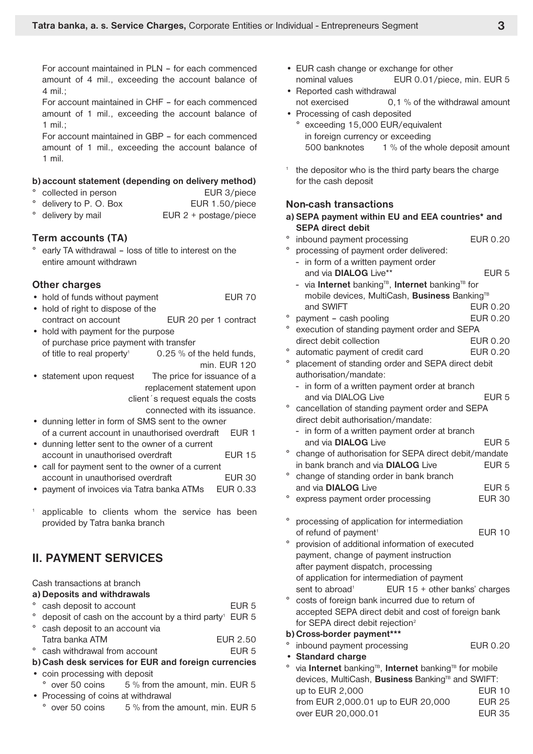For account maintained in PLN – for each commenced amount of 4 mil., exceeding the account balance of 4 mil.;

For account maintained in CHF – for each commenced amount of 1 mil., exceeding the account balance of 1 mil.;

For account maintained in GBP – for each commenced amount of 1 mil., exceeding the account balance of 1 mil.

#### **b) account statement (depending on delivery method)**

- collected in person EUR 3/piece
- delivery to P. O. Box EUR 1.50/piece
- delivery by mail **EUR** 2 + postage/piece

#### **Term accounts (TA)**

early TA withdrawal - loss of title to interest on the entire amount withdrawn

#### **Other charges**

- hold of funds without payment EUR 70
- hold of right to dispose of the contract on account EUR 20 per 1 contract
- hold with payment for the purpose of purchase price payment with transfer of title to real property<sup>1</sup> 0.25 % of the held funds, min. EUR 120
- statement upon request The price for issuance of a replacement statement upon client´s request equals the costs connected with its issuance.
- dunning letter in form of SMS sent to the owner of a current account in unauthorised overdraft EUR 1
- dunning letter sent to the owner of a current account in unauthorised overdraft EUR 15
- call for payment sent to the owner of a current account in unauthorised overdraft FUR 30
- payment of invoices via Tatra banka ATMs EUR 0.33
- applicable to clients whom the service has been provided by Tatra banka branch

## **II. PAYMENT SERVICES**

#### Cash transactions at branch

- **a) Deposits and withdrawals**
- ° cash deposit to account example of the EUR 5
- deposit of cash on the account by a third party<sup>1</sup> EUR 5 cash deposit to an account via
- Tatra banka ATM EUR 2.50
- ° cash withdrawal from account FUR 5
- **b)Cash desk services for EUR and foreign currencies** • coin processing with deposit
- ° over 50 coins 5 % from the amount, min. EUR 5 • Processing of coins at withdrawal
- $\degree$  over 50 coins  $\degree$  5 % from the amount, min. EUR 5
- EUR cash change or exchange for other nominal values EUR 0.01/piece, min. EUR 5
- Reported cash withdrawal not exercised 0,1 % of the withdrawal amount
- Processing of cash deposited ° exceeding 15,000 EUR/equivalent in foreign currency or exceeding 500 banknotes 1 % of the whole deposit amount
- the depositor who is the third party bears the charge for the cash deposit

|         | <b>Non-cash transactions</b>                                                   |                  |
|---------|--------------------------------------------------------------------------------|------------------|
|         | a) SEPA payment within EU and EEA countries* and<br><b>SEPA direct debit</b>   |                  |
| o       |                                                                                | EUR 0.20         |
| ۰       | inbound payment processing                                                     |                  |
|         | processing of payment order delivered:                                         |                  |
|         | - in form of a written payment order                                           |                  |
|         | and via DIALOG Live**                                                          | EUR <sub>5</sub> |
|         | - via Internet banking <sup>TB</sup> , Internet banking <sup>TB</sup> for      |                  |
|         | mobile devices, MultiCash, Business Banking <sup>TB</sup>                      |                  |
| $\circ$ | and SWIFT                                                                      | EUR 0.20         |
| $\circ$ | payment - cash pooling                                                         | EUR 0.20         |
|         | execution of standing payment order and SEPA                                   |                  |
|         | direct debit collection                                                        | EUR 0.20         |
| o       | automatic payment of credit card                                               | EUR 0.20         |
| ٥       | placement of standing order and SEPA direct debit                              |                  |
|         | authorisation/mandate:                                                         |                  |
|         | - in form of a written payment order at branch                                 |                  |
|         | and via DIALOG Live                                                            | EUR <sub>5</sub> |
| o       | cancellation of standing payment order and SEPA                                |                  |
|         | direct debit authorisation/mandate:                                            |                  |
|         | - in form of a written payment order at branch                                 |                  |
|         | and via <b>DIALOG</b> Live                                                     | EUR 5            |
| $\circ$ | change of authorisation for SEPA direct debit/mandate                          |                  |
|         | in bank branch and via DIALOG Live                                             | EUR <sub>5</sub> |
| o       | change of standing order in bank branch                                        |                  |
|         | and via DIALOG Live                                                            | EUR <sub>5</sub> |
| o       | express payment order processing                                               | <b>EUR 30</b>    |
| o       | processing of application for intermediation                                   |                  |
|         | of refund of payment <sup>1</sup>                                              | <b>EUR 10</b>    |
| o       | provision of additional information of executed                                |                  |
|         | payment, change of payment instruction                                         |                  |
|         | after payment dispatch, processing                                             |                  |
|         | of application for intermediation of payment                                   |                  |
|         | EUR 15 + other banks' charges<br>sent to abroad <sup>1</sup>                   |                  |
| o       | costs of foreign bank incurred due to return of                                |                  |
|         | accepted SEPA direct debit and cost of foreign bank                            |                  |
|         | for SEPA direct debit rejection <sup>2</sup>                                   |                  |
|         | b) Cross-border payment***                                                     |                  |
| $\circ$ | inbound payment processing                                                     | EUR 0.20         |
|         | <b>Standard charge</b>                                                         |                  |
| ۰       | via Internet banking <sup>TB</sup> , Internet banking <sup>TB</sup> for mobile |                  |
|         | devices, MultiCash, Business Banking <sup>TB</sup> and SWIFT:                  |                  |
|         | up to EUR 2,000                                                                | <b>EUR 10</b>    |
|         | from EUR 2,000.01 up to EUR 20,000                                             | <b>EUR 25</b>    |

over EUR 20,000.01 EUR 35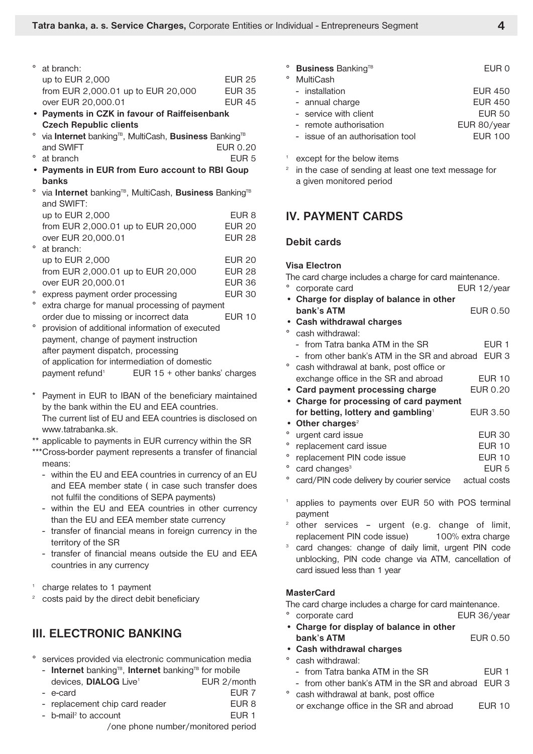| $\degree$ at branch:               |               |
|------------------------------------|---------------|
| up to EUR 2,000                    | EUR 25        |
| from EUR 2,000.01 up to EUR 20,000 | <b>EUR 35</b> |
| over EUR 20,000.01                 | <b>EUR 45</b> |

- **• Payments in CZK in favour of Raiffeisenbank Czech Republic clients**
- <sup>o</sup> via **Internet** banking<sup>TB</sup>, MultiCash, **Business** Banking<sup>TB</sup> and SWIFT EUR 0.20
- at branch **EUR 5**
- **• Payments in EUR from Euro account to RBI Goup banks**
- <sup>o</sup> via Internet banking<sup>TB</sup>, MultiCash, Business Banking<sup>TB</sup> and SWIFT:

| up to EUR 2,000                               | EUR <sub>8</sub> |
|-----------------------------------------------|------------------|
| from EUR 2,000.01 up to EUR 20,000            | <b>EUR 20</b>    |
| over EUR 20,000.01                            | <b>EUR 28</b>    |
| at branch:                                    |                  |
| up to EUR 2,000                               | <b>EUR 20</b>    |
| from EUR 2,000.01 up to EUR 20,000            | <b>EUR 28</b>    |
| over EUR 20,000.01                            | <b>EUR 36</b>    |
| express payment order processing              | <b>EUR 30</b>    |
| extra charge for manual processing of payment |                  |
| order due to missing or incorrect data        | EUR 10           |

- ° provision of additional information of executed payment, change of payment instruction after payment dispatch, processing of application for intermediation of domestic payment refund<sup>1</sup> EUR 15 + other banks' charges
- Payment in EUR to IBAN of the beneficiary maintained by the bank within the EU and EEA countries. The current list of EU and EEA countries is disclosed on www.tatrabanka.sk.
- \*\* applicable to payments in EUR currency within the SR
- \*\*\*Cross-border payment represents a transfer of financial means:
	- within the EU and EEA countries in currency of an EU and EEA member state ( in case such transfer does not fulfil the conditions of SEPA payments)
	- within the EU and EEA countries in other currency than the EU and EEA member state currency
	- transfer of financial means in foreign currency in the territory of the SR
	- transfer of financial means outside the EU and EEA countries in any currency
- <sup>1</sup> charge relates to 1 payment
- costs paid by the direct debit beneficiary

# **III. ELECTRONIC BANKING**

- ° services provided via electronic communication media
	- **Internet** banking<sup>TB</sup>, **Internet** banking<sup>TB</sup> for mobile devices, **DIALOG** Live<sup>1</sup> EUR 2/month - e-card EUR 7
	- replacement chip card reader FUR 8
	- b-mail<sup>2</sup> to account EUR 1 /one phone number/monitored period
- **Business** Banking<sup>TB</sup> EUR 0 ° MultiCash - installation **EUR 450** - annual charge EUR 450 - service with client **EUR 50** - remote authorisation EUR 80/year - issue of an authorisation tool **EUR 100**
- except for the below items
- <sup>2</sup> in the case of sending at least one text message for a given monitored period

## **IV. PAYMENT CARDS**

### **Debit cards**

#### **Visa Electron**

The card charge includes a charge for card maintenance.

- ° corporate card EUR 12/year
- **• Charge for display of balance in other bank's ATM** EUR 0.50
- **• Cash withdrawal charges**
- ° cash withdrawal:

|   | - from Tatra banka ATM in the SR                   | EUR 1         |
|---|----------------------------------------------------|---------------|
|   | - from other bank's ATM in the SR and abroad EUR 3 |               |
|   | ° cash withdrawal at bank, post office or          |               |
|   | exchange office in the SR and abroad               | <b>EUR 10</b> |
|   | • Card payment processing charge                   | EUR 0.20      |
|   | • Charge for processing of card payment            |               |
|   | for betting, lottery and gambling <sup>1</sup>     | EUR 3.50      |
|   | • Other charges <sup>2</sup>                       |               |
| ۰ | urgent card issue                                  | EUR 30        |

- replacement card issue EUR 10
- replacement PIN code issue FUR 10
	- card changes<sup>3</sup> EUR 5
- card/PIN code delivery by courier service actual costs
- applies to payments over EUR 50 with POS terminal payment
- other services urgent (e.g. change of limit, replacement PIN code issue) 100% extra charge
- card changes: change of daily limit, urgent PIN code unblocking, PIN code change via ATM, cancellation of card issued less than 1 year

#### **MasterCard**

The card charge includes a charge for card maintenance.

- ° corporate card EUR 36/year **• Charge for display of balance in other**
	- **bank's ATM** EUR 0.50
- **• Cash withdrawal charges**
- ° cash withdrawal:
	- from Tatra banka ATM in the SR EUR 1
	- from other bank's ATM in the SR and abroad EUR 3
- ° cash withdrawal at bank, post office or exchange office in the SR and abroad EUR 10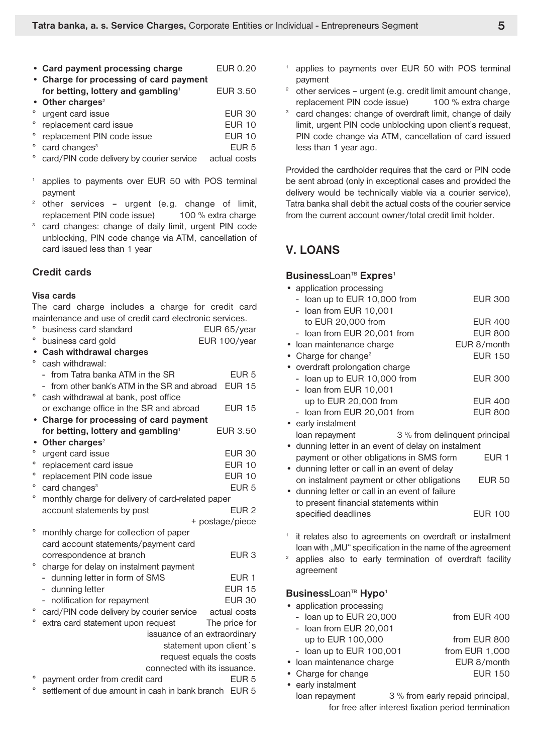| • Card payment processing charge                                                          | EUR 0.20         |
|-------------------------------------------------------------------------------------------|------------------|
| • Charge for processing of card payment<br>for betting, lottery and gambling <sup>1</sup> | EUR 3.50         |
| • Other charges <sup>2</sup>                                                              |                  |
| ° urgent card issue                                                                       | <b>EUR 30</b>    |
| ° replacement card issue                                                                  | <b>EUR 10</b>    |
| replacement PIN code issue                                                                | $E$ UR 10        |
| card changes <sup>3</sup>                                                                 | FUR <sub>5</sub> |

- card/PIN code delivery by courier service actual costs
- applies to payments over EUR 50 with POS terminal payment
- <sup>2</sup> other services urgent (e.g. change of limit, replacement PIN code issue) 100 % extra charge
- <sup>3</sup> card changes: change of daily limit, urgent PIN code unblocking, PIN code change via ATM, cancellation of card issued less than 1 year

### **Credit cards**

#### **Visa cards**

The card charge includes a charge for credit card maintenance and use of credit card electronic services.

| ° business card standard      | EUR 65/year  |
|-------------------------------|--------------|
| ° business card gold          | EUR 100/year |
| • Cash withdrawal charges     |              |
| <sup>o</sup> cash withdrawal: |              |

|           | - from Tatra banka ATM in the SR                                     | EUR <sub>5</sub> |
|-----------|----------------------------------------------------------------------|------------------|
|           | from other bank's ATM in the SR and abroad                           | <b>EUR 15</b>    |
| $\circ$   | cash withdrawal at bank, post office                                 |                  |
|           | or exchange office in the SR and abroad                              | <b>EUR 15</b>    |
|           | Charge for processing of card payment                                |                  |
|           | for betting, lottery and gambling <sup>1</sup>                       | <b>EUR 3.50</b>  |
| $\bullet$ | Other charges <sup>2</sup>                                           |                  |
| $\circ$   | urgent card issue                                                    | <b>EUR 30</b>    |
| $\circ$   | replacement card issue                                               | <b>EUR 10</b>    |
| $\circ$   | replacement PIN code issue                                           | <b>EUR 10</b>    |
| $\circ$   | card changes <sup>3</sup>                                            | EUR <sub>5</sub> |
| о         | monthly charge for delivery of card-related paper                    |                  |
|           | account statements by post                                           | EUR <sub>2</sub> |
|           |                                                                      | + postage/piece  |
| $\circ$   | monthly charge for collection of paper                               |                  |
|           | card account statements/payment card                                 |                  |
|           | correspondence at branch                                             | EUR <sub>3</sub> |
| $\circ$   | charge for delay on instalment payment                               |                  |
|           | - dunning letter in form of SMS                                      | EUR <sub>1</sub> |
|           | - dunning letter                                                     | <b>EUR 15</b>    |
|           | - notification for repayment                                         | <b>EUR 30</b>    |
| $\circ$   | card/PIN code delivery by courier service actual costs               |                  |
| o         | extra card statement upon request                                    | The price for    |
|           | issuance of an extraordinary                                         |                  |
|           | statement upon client's                                              |                  |
|           | request equals the costs                                             |                  |
|           | connected with its issuance.                                         |                  |
|           | payment order from credit card                                       | EUR <sub>5</sub> |
|           | <sup>0</sup> pottlement of due emount in each in benk bropen. ELID E |                  |

° settlement of due amount in cash in bank branch EUR 5

- applies to payments over EUR 50 with POS terminal payment
- other services urgent (e.g. credit limit amount change, replacement PIN code issue) 100 % extra charge
- card changes: change of overdraft limit, change of daily limit, urgent PIN code unblocking upon client's request, PIN code change via ATM, cancellation of card issued less than 1 year ago.

Provided the cardholder requires that the card or PIN code be sent abroad (only in exceptional cases and provided the delivery would be technically viable via a courier service), Tatra banka shall debit the actual costs of the courier service from the current account owner/total credit limit holder.

## **V. LOANS**

#### **BusinessLoan<sup>TB</sup> Expres<sup>1</sup>**

- application processing - loan up to EUR 10,000 from EUR 300 - loan from EUR 10,001 to EUR 20,000 from EUR 400 - loan from EUR 20,001 from EUR 800 • Ioan maintenance charge EUR 8/month • Charge for change<sup>2</sup> EUR 150 • overdraft prolongation charge - loan up to EUR 10,000 from EUR 300 - loan from EUR 10,001 up to EUR 20,000 from EUR 400 - loan from EUR 20,001 from EUR 800 • early instalment loan repayment 3 % from delinquent principal • dunning letter in an event of delay on instalment payment or other obligations in SMS form EUR 1 • dunning letter or call in an event of delay on instalment payment or other obligations EUR 50 • dunning letter or call in an event of failure to present financial statements within specified deadlines **EUR** 100
- it relates also to agreements on overdraft or installment loan with ..MU" specification in the name of the agreement
- applies also to early termination of overdraft facility agreement

### BusinessLoan<sup>TB</sup> Hypo<sup>1</sup>

| • application processing   |                                  |
|----------------------------|----------------------------------|
| - loan up to EUR 20,000    | from EUR 400                     |
| - Ioan from EUR 20,001     |                                  |
| up to EUR 100,000          | from EUR 800                     |
| - loan up to EUR $100,001$ | from EUR 1,000                   |
| • Ioan maintenance charge  | EUR 8/month                      |
| • Charge for change        | <b>EUR 150</b>                   |
| • early instalment         |                                  |
| loan repayment             | 3 % from early repaid principal, |

for free after interest fixation period termination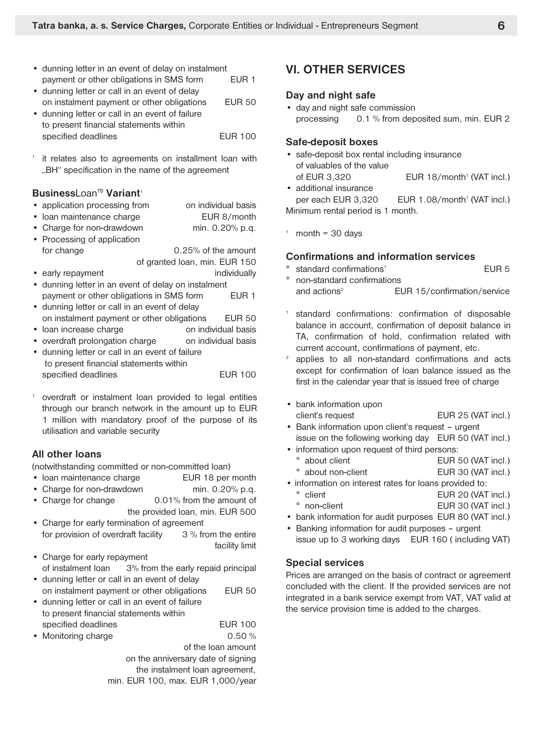- dunning letter in an event of delay on instalment payment or other obligations in SMS form EUR 1
- dunning letter or call in an event of delay on instalment payment or other obligations EUR 50
- dunning letter or call in an event of failure to present financial statements within specified deadlines **EUR 100**
- it relates also to agreements on installment loan with "BH" specification in the name of the agreement

### BusinessLoan<sup>TB</sup> Variant<sup>1</sup>

- application processing from on individual basis
- Ioan maintenance charge **EUR 8/month**
- Charge for non-drawdown min. 0.20% p.q.
- Processing of application for change 0.25% of the amount of granted loan, min. EUR 150
- early repayment individually
- dunning letter in an event of delay on instalment payment or other obligations in SMS form EUR 1
- dunning letter or call in an event of delay on instalment payment or other obligations EUR 50
- loan increase charge **on** individual basis
- overdraft prolongation charge on individual basis
- dunning letter or call in an event of failure to present financial statements within specified deadlines EUR 100
- overdraft or instalment loan provided to legal entities through our branch network in the amount up to EUR 1 million with mandatory proof of the purpose of its utilisation and variable security

### **All other loans**

(notwithstanding committed or non-committed loan)

- Ioan maintenance charge EUR 18 per month
- Charge for non-drawdown min. 0.20% p.q.
- Charge for change 0.01% from the amount of the provided loan, min. EUR 500
- Charge for early termination of agreement for provision of overdraft facility 3 % from the entire facility limit
- Charge for early repayment of instalment loan 3% from the early repaid principal
- dunning letter or call in an event of delay on instalment payment or other obligations EUR 50
- dunning letter or call in an event of failure to present financial statements within specified deadlines **EUR** 100
- Monitoring charge 0.50 %

of the loan amount on the anniversary date of signing the instalment loan agreement, min. EUR 100, max. EUR 1,000/year

## **VI. OTHER SERVICES**

#### **Day and night safe**

• day and night safe commission processing 0.1 % from deposited sum, min. EUR 2

#### **Safe-deposit boxes**

- safe-deposit box rental including insurance of valuables of the value of EUR 3,320 EUR 18/month<sup>1</sup> (VAT incl.)
- additional insurance per each EUR 3,320 EUR 1.08/month<sup>1</sup> (VAT incl.) Minimum rental period is 1 month.
- $1$  month = 30 days

#### **Confirmations and information services**

- standard confirmations<sup>1</sup> EUR 5 ° non-standard confirmations
	- and actions<sup>2</sup> EUR 15/confirmation/service
- <sup>1</sup> standard confirmations: confirmation of disposable balance in account, confirmation of deposit balance in TA, confirmation of hold, confirmation related with current account, confirmations of payment, etc.
- <sup>2</sup> applies to all non-standard confirmations and acts except for confirmation of loan balance issued as the first in the calendar year that is issued free of charge
- bank information upon client's request EUR 25 (VAT incl.)
- Bank information upon client's request urgent issue on the following working day EUR 50 (VAT incl.)
- information upon request of third persons:
- ° about client EUR 50 (VAT incl.) ° about non-client EUR 30 (VAT incl.)
- information on interest rates for loans provided to:
	- ° client EUR 20 (VAT incl.) ° non-client EUR 30 (VAT incl.)
- bank information for audit purposes EUR 80 (VAT incl.)
- Banking information for audit purposes urgent issue up to 3 working days EUR 160 ( including VAT)

### **Special services**

Prices are arranged on the basis of contract or agreement concluded with the client. If the provided services are not integrated in a bank service exempt from VAT, VAT valid at the service provision time is added to the charges.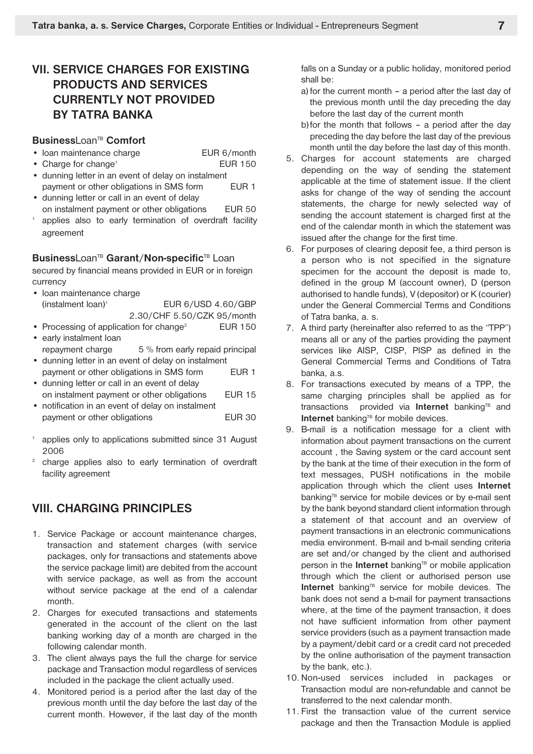# **VII. SERVICE CHARGES FOR EXISTING PRODUCTS AND SERVICES CURRENTLY NOT PROVIDED BY TATRA BANKA**

#### **Business**Loan<sup>TB</sup> Comfort

- Ioan maintenance charge EUR 6/month
- Charge for change<sup>1</sup> EUR 150
- dunning letter in an event of delay on instalment payment or other obligations in SMS form EUR 1
- dunning letter or call in an event of delay on instalment payment or other obligations EUR 50
- applies also to early termination of overdraft facility agreement

#### **Business**LoanTB **Garant**/**Non-specific**TB Loan

secured by financial means provided in EUR or in foreign currency

- loan maintenance charge (instalment loan) <sup>1</sup> EUR 6/USD 4.60/GBP 2.30/CHF 5.50/CZK 95/month
- Processing of application for change<sup>2</sup> EUR 150
- early instalment loan repayment charge 5 % from early repaid principal
- dunning letter in an event of delay on instalment payment or other obligations in SMS form EUR 1
- dunning letter or call in an event of delay on instalment payment or other obligations EUR 15
- notification in an event of delay on instalment payment or other obligations The South COR 30
- <sup>1</sup> applies only to applications submitted since 31 August 2006
- <sup>2</sup> charge applies also to early termination of overdraft facility agreement

## **VIII. CHARGING PRINCIPLES**

- 1. Service Package or account maintenance charges, transaction and statement charges (with service packages, only for transactions and statements above the service package limit) are debited from the account with service package, as well as from the account without service package at the end of a calendar month.
- 2. Charges for executed transactions and statements generated in the account of the client on the last banking working day of a month are charged in the following calendar month.
- 3. The client always pays the full the charge for service package and Transaction modul regardless of services included in the package the client actually used.
- 4. Monitored period is a period after the last day of the previous month until the day before the last day of the current month. However, if the last day of the month

falls on a Sunday or a public holiday, monitored period shall be:

- a) for the current month a period after the last day of the previous month until the day preceding the day before the last day of the current month
- b) for the month that follows a period after the day preceding the day before the last day of the previous month until the day before the last day of this month.
- 5. Charges for account statements are charged depending on the way of sending the statement applicable at the time of statement issue. If the client asks for change of the way of sending the account statements, the charge for newly selected way of sending the account statement is charged first at the end of the calendar month in which the statement was issued after the change for the first time.
- 6. For purposes of clearing deposit fee, a third person is a person who is not specified in the signature specimen for the account the deposit is made to, defined in the group M (account owner), D (person authorised to handle funds), V (depositor) or K (courier) under the General Commercial Terms and Conditions of Tatra banka, a. s.
- 7. A third party (hereinafter also referred to as the "TPP") means all or any of the parties providing the payment services like AISP, CISP, PISP as defined in the General Commercial Terms and Conditions of Tatra banka, a.s.
- 8. For transactions executed by means of a TPP, the same charging principles shall be applied as for transactions provided via **Internet** banking<sup>TB</sup> and **Internet** banking<sup>TB</sup> for mobile devices.
- 9. B-mail is a notification message for a client with information about payment transactions on the current account , the Saving system or the card account sent by the bank at the time of their execution in the form of text messages, PUSH notifications in the mobile application through which the client uses **Internet** banking<sup>TB</sup> service for mobile devices or by e-mail sent by the bank beyond standard client information through a statement of that account and an overview of payment transactions in an electronic communications media environment. B-mail and b-mail sending criteria are set and/or changed by the client and authorised person in the **Internet** banking<sup>TB</sup> or mobile application through which the client or authorised person use Internet banking<sup>TB</sup> service for mobile devices. The bank does not send a b-mail for payment transactions where, at the time of the payment transaction, it does not have sufficient information from other payment service providers (such as a payment transaction made by a payment/debit card or a credit card not preceded by the online authorisation of the payment transaction by the bank, etc.).
- 10.Non-used services included in packages or Transaction modul are non-refundable and cannot be transferred to the next calendar month.
- 11. First the transaction value of the current service package and then the Transaction Module is applied